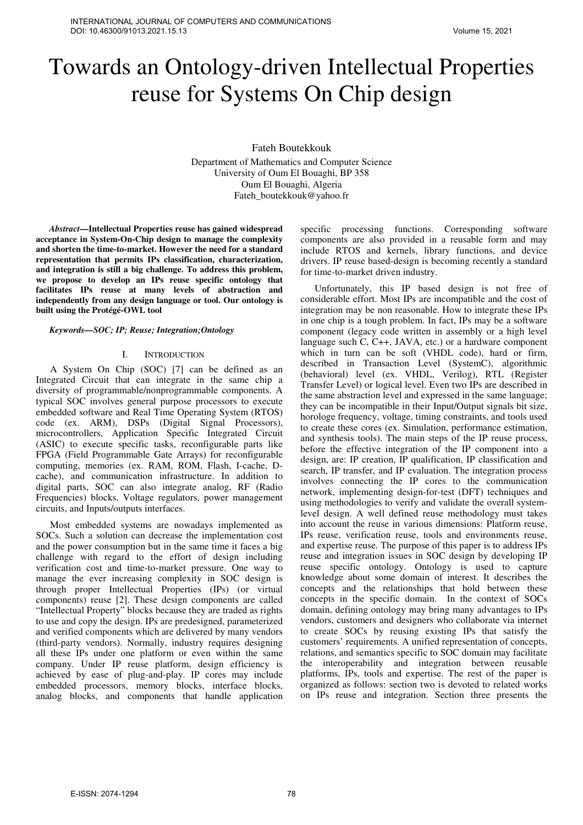# Towards an Ontology-driven Intellectual Properties reuse for Systems On Chip design

Fateh Boutekkouk

Department of Mathematics and Computer Science University of Oum El Bouaghi, BP 358 Oum El Bouaghi, Algeria Fateh\_boutekkouk@yahoo.fr

*Abstract***—Intellectual Properties reuse has gained widespread acceptance in System-On-Chip design to manage the complexity and shorten the time-to-market. However the need for a standard representation that permits IPs classification, characterization, and integration is still a big challenge. To address this problem, we propose to develop an IPs reuse specific ontology that facilitates IPs reuse at many levels of abstraction and independently from any design language or tool. Our ontology is built using the Protégé-OWL tool** 

# *Keywords—SOC; IP; Reuse; Integration;Ontology*

#### I. INTRODUCTION

A System On Chip (SOC) [7] can be defined as an Integrated Circuit that can integrate in the same chip a diversity of programmable/nonprogrammable components. A typical SOC involves general purpose processors to execute embedded software and Real Time Operating System (RTOS) code (ex. ARM), DSPs (Digital Signal Processors), microcontrollers, Application Specific Integrated Circuit (ASIC) to execute specific tasks, reconfigurable parts like FPGA (Field Programmable Gate Arrays) for reconfigurable computing, memories (ex. RAM, ROM, Flash, I-cache, Dcache), and communication infrastructure. In addition to digital parts, SOC can also integrate analog, RF (Radio Frequencies) blocks, Voltage regulators, power management circuits, and Inputs/outputs interfaces.

Most embedded systems are nowadays implemented as SOCs. Such a solution can decrease the implementation cost and the power consumption but in the same time it faces a big challenge with regard to the effort of design including verification cost and time-to-market pressure. One way to manage the ever increasing complexity in SOC design is through proper Intellectual Properties (IPs) (or virtual components) reuse [2]. These design components are called "Intellectual Property" blocks because they are traded as rights to use and copy the design. IPs are predesigned, parameterized and verified components which are delivered by many vendors (third-party vendors). Normally, industry requires designing all these IPs under one platform or even within the same company. Under IP reuse platform, design efficiency is achieved by ease of plug-and-play. IP cores may include embedded processors, memory blocks, interface blocks, analog blocks, and components that handle application

specific processing functions. Corresponding software components are also provided in a reusable form and may include RTOS and kernels, library functions, and device drivers. IP reuse based-design is becoming recently a standard for time-to-market driven industry.

Unfortunately, this IP based design is not free of considerable effort. Most IPs are incompatible and the cost of integration may be non reasonable. How to integrate these IPs in one chip is a tough problem. In fact, IPs may be a software component (legacy code written in assembly or a high level language such C, C++, JAVA, etc.) or a hardware component which in turn can be soft (VHDL code), hard or firm, described in Transaction Level (SystemC), algorithmic (behavioral) level (ex. VHDL, Verilog), RTL (Register Transfer Level) or logical level. Even two IPs are described in the same abstraction level and expressed in the same language; they can be incompatible in their Input/Output signals bit size, horologe frequency, voltage, timing constraints, and tools used to create these cores (ex. Simulation, performance estimation, and synthesis tools). The main steps of the IP reuse process, before the effective integration of the IP component into a design, are: IP creation, IP qualification, IP classification and search, IP transfer, and IP evaluation. The integration process involves connecting the IP cores to the communication network, implementing design-for-test (DFT) techniques and using methodologies to verify and validate the overall systemlevel design. A well defined reuse methodology must takes into account the reuse in various dimensions: Platform reuse, IPs reuse, verification reuse, tools and environments reuse, and expertise reuse. The purpose of this paper is to address IPs reuse and integration issues in SOC design by developing IP reuse specific ontology. Ontology is used to capture knowledge about some domain of interest. It describes the concepts and the relationships that hold between these concepts in the specific domain. In the context of SOCs domain, defining ontology may bring many advantages to IPs vendors, customers and designers who collaborate via internet to create SOCs by reusing existing IPs that satisfy the customers' requirements. A unified representation of concepts, relations, and semantics specific to SOC domain may facilitate the interoperability and integration between reusable platforms, IPs, tools and expertise. The rest of the paper is organized as follows: section two is devoted to related works on IPs reuse and integration. Section three presents the Volume 15, 2021<br>
Workers and Control of the state is a strong of the state is a strong of the state is a strong of the state is a strong of the state is a strong of the state is a strong of the state is a strong of the st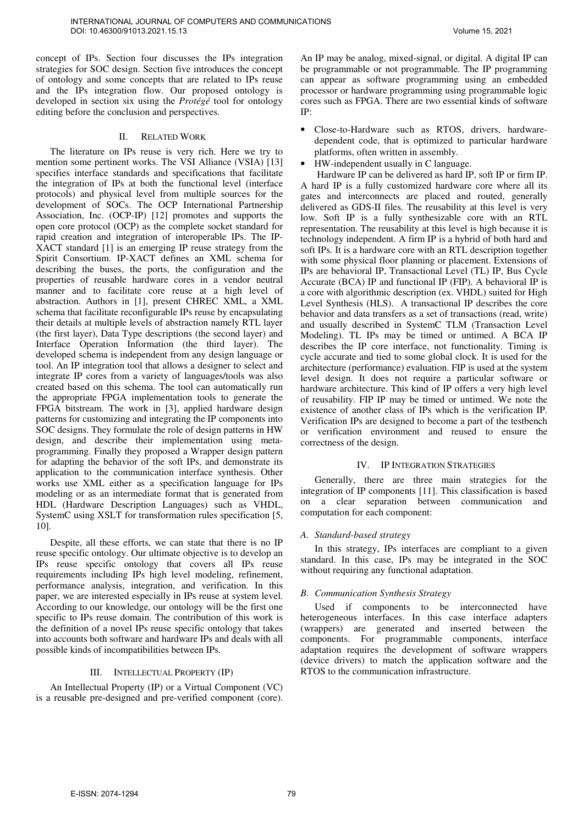concept of IPs. Section four discusses the IPs integration strategies for SOC design. Section five introduces the concept of ontology and some concepts that are related to IPs reuse and the IPs integration flow. Our proposed ontology is developed in section six using the *Protégé* tool for ontology editing before the conclusion and perspectives.

## II. RELATED WORK

The literature on IPs reuse is very rich. Here we try to mention some pertinent works. The VSI Alliance (VSIA) [13] specifies interface standards and specifications that facilitate the integration of IPs at both the functional level (interface protocols) and physical level from multiple sources for the development of SOCs. The OCP International Partnership Association, Inc. (OCP-IP) [12] promotes and supports the open core protocol (OCP) as the complete socket standard for rapid creation and integration of interoperable IPs. The IP-XACT standard [1] is an emerging IP reuse strategy from the Spirit Consortium. IP-XACT defines an XML schema for describing the buses, the ports, the configuration and the properties of reusable hardware cores in a vendor neutral manner and to facilitate core reuse at a high level of abstraction. Authors in [1], present CHREC XML, a XML schema that facilitate reconfigurable IPs reuse by encapsulating their details at multiple levels of abstraction namely RTL layer (the first layer), Data Type descriptions (the second layer) and Interface Operation Information (the third layer). The developed schema is independent from any design language or tool. An IP integration tool that allows a designer to select and integrate IP cores from a variety of languages/tools was also created based on this schema. The tool can automatically run the appropriate FPGA implementation tools to generate the FPGA bitstream. The work in [3], applied hardware design patterns for customizing and integrating the IP components into SOC designs. They formulate the role of design patterns in HW design, and describe their implementation using metaprogramming. Finally they proposed a Wrapper design pattern for adapting the behavior of the soft IPs, and demonstrate its application to the communication interface synthesis. Other works use XML either as a specification language for IPs modeling or as an intermediate format that is generated from HDL (Hardware Description Languages) such as VHDL, SystemC using XSLT for transformation rules specification [5, 10]. On the second by the second by the second by the second by the second by the second by the second by the second by the second by the second by the second by the second by the second by the second by the second by the seco

Despite, all these efforts, we can state that there is no IP reuse specific ontology. Our ultimate objective is to develop an IPs reuse specific ontology that covers all IPs reuse requirements including IPs high level modeling, refinement, performance analysis, integration, and verification. In this paper, we are interested especially in IPs reuse at system level. According to our knowledge, our ontology will be the first one specific to IPs reuse domain. The contribution of this work is the definition of a novel IPs reuse specific ontology that takes into accounts both software and hardware IPs and deals with all possible kinds of incompatibilities between IPs.

# III. INTELLECTUAL PROPERTY (IP)

An Intellectual Property (IP) or a Virtual Component (VC) is a reusable pre-designed and pre-verified component (core). An IP may be analog, mixed-signal, or digital. A digital IP can be programmable or not programmable. The IP programming can appear as software programming using an embedded processor or hardware programming using programmable logic cores such as FPGA. There are two essential kinds of software IP:

- Close-to-Hardware such as RTOS, drivers, hardwaredependent code, that is optimized to particular hardware platforms, often written in assembly.
- HW-independent usually in C language.

 Hardware IP can be delivered as hard IP, soft IP or firm IP. A hard IP is a fully customized hardware core where all its gates and interconnects are placed and routed, generally delivered as GDS-II files. The reusability at this level is very low. Soft IP is a fully synthesizable core with an RTL representation. The reusability at this level is high because it is technology independent. A firm IP is a hybrid of both hard and soft IPs. It is a hardware core with an RTL description together with some physical floor planning or placement. Extensions of IPs are behavioral IP, Transactional Level (TL) IP, Bus Cycle Accurate (BCA) IP and functional IP (FIP). A behavioral IP is a core with algorithmic description (ex. VHDL) suited for High Level Synthesis (HLS). A transactional IP describes the core behavior and data transfers as a set of transactions (read, write) and usually described in SystemC TLM (Transaction Level Modeling). TL IPs may be timed or untimed. A BCA IP describes the IP core interface, not functionality. Timing is cycle accurate and tied to some global clock. It is used for the architecture (performance) evaluation. FIP is used at the system level design. It does not require a particular software or hardware architecture. This kind of IP offers a very high level of reusability. FIP IP may be timed or untimed. We note the existence of another class of IPs which is the verification IP. Verification IPs are designed to become a part of the testbench or verification environment and reused to ensure the correctness of the design.

# IV. IP INTEGRATION STRATEGIES

Generally, there are three main strategies for the integration of IP components [11]. This classification is based on a clear separation between communication and computation for each component:

# *A. Standard-based strategy*

In this strategy, IPs interfaces are compliant to a given standard. In this case, IPs may be integrated in the SOC without requiring any functional adaptation.

# *B. Communication Synthesis Strategy*

Used if components to be interconnected have heterogeneous interfaces. In this case interface adapters (wrappers) are generated and inserted between the components. For programmable components, interface adaptation requires the development of software wrappers (device drivers) to match the application software and the RTOS to the communication infrastructure.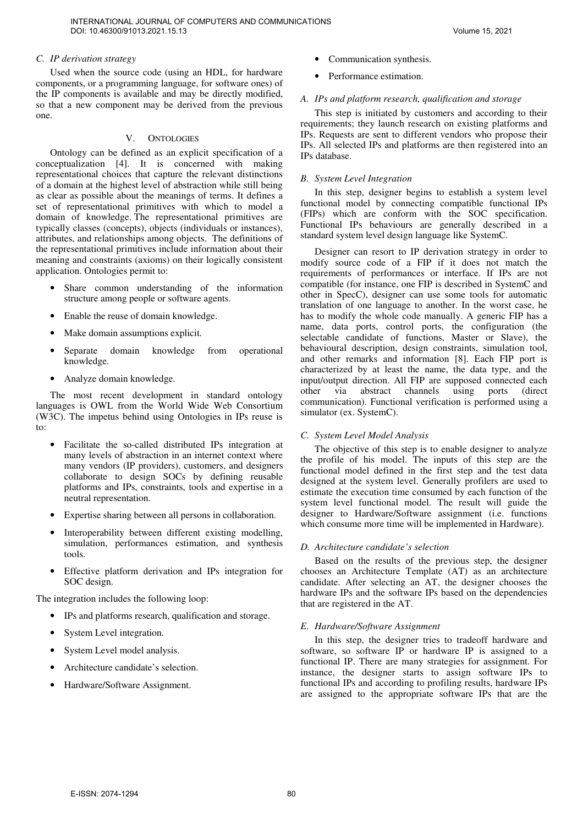# *C. IP derivation strategy*

Used when the source code (using an HDL, for hardware components, or a programming language, for software ones) of the IP components is available and may be directly modified, so that a new component may be derived from the previous one.

# V. ONTOLOGIES

Ontology can be defined as an explicit specification of a conceptualization [4]. It is concerned with making representational choices that capture the relevant distinctions of a domain at the highest level of abstraction while still being as clear as possible about the meanings of terms. It defines a set of representational primitives with which to model a domain of knowledge. The representational primitives are typically classes (concepts), objects (individuals or instances), attributes, and relationships among objects. The definitions of the representational primitives include information about their meaning and constraints (axioms) on their logically consistent application. Ontologies permit to:

- Share common understanding of the information structure among people or software agents.
- Enable the reuse of domain knowledge.
- Make domain assumptions explicit.
- Separate domain knowledge from operational knowledge.
- Analyze domain knowledge.

The most recent development in standard ontology languages is OWL from the World Wide Web Consortium (W3C). The impetus behind using Ontologies in IPs reuse is to:

- Facilitate the so-called distributed IPs integration at many levels of abstraction in an internet context where many vendors (IP providers), customers, and designers collaborate to design SOCs by defining reusable platforms and IPs, constraints, tools and expertise in a neutral representation.
- Expertise sharing between all persons in collaboration.
- Interoperability between different existing modelling, simulation, performances estimation, and synthesis tools.
- Effective platform derivation and IPs integration for SOC design.

The integration includes the following loop:

- IPs and platforms research, qualification and storage.
- System Level integration.
- System Level model analysis.
- Architecture candidate's selection.
- Hardware/Software Assignment.
- Communication synthesis.
- Performance estimation.

# *A. IPs and platform research, qualification and storage*

This step is initiated by customers and according to their requirements; they launch research on existing platforms and IPs. Requests are sent to different vendors who propose their IPs. All selected IPs and platforms are then registered into an IPs database.

# *B. System Level Integration*

In this step, designer begins to establish a system level functional model by connecting compatible functional IPs (FIPs) which are conform with the SOC specification. Functional IPs behaviours are generally described in a standard system level design language like SystemC.

Designer can resort to IP derivation strategy in order to modify source code of a FIP if it does not match the requirements of performances or interface. If IPs are not compatible (for instance, one FIP is described in SystemC and other in SpecC), designer can use some tools for automatic translation of one language to another. In the worst case, he has to modify the whole code manually. A generic FIP has a name, data ports, control ports, the configuration (the selectable candidate of functions, Master or Slave), the behavioural description, design constraints, simulation tool, and other remarks and information [8]. Each FIP port is characterized by at least the name, the data type, and the input/output direction. All FIP are supposed connected each<br>other via abstract channels using ports (direct channels using ports (direct communication). Functional verification is performed using a simulator (ex. SystemC). On the second with the second with the second with  $\mu$  is the second with the second with the second with the second with the second with the second with the second with the second with the second is a second with the se

#### *C. System Level Model Analysis*

The objective of this step is to enable designer to analyze the profile of his model. The inputs of this step are the functional model defined in the first step and the test data designed at the system level. Generally profilers are used to estimate the execution time consumed by each function of the system level functional model. The result will guide the designer to Hardware/Software assignment (i.e. functions which consume more time will be implemented in Hardware).

#### *D. Architecture candidate's selection*

Based on the results of the previous step, the designer chooses an Architecture Template (AT) as an architecture candidate. After selecting an AT, the designer chooses the hardware IPs and the software IPs based on the dependencies that are registered in the AT.

#### *E. Hardware/Software Assignment*

In this step, the designer tries to tradeoff hardware and software, so software IP or hardware IP is assigned to a functional IP. There are many strategies for assignment. For instance, the designer starts to assign software IPs to functional IPs and according to profiling results, hardware IPs are assigned to the appropriate software IPs that are the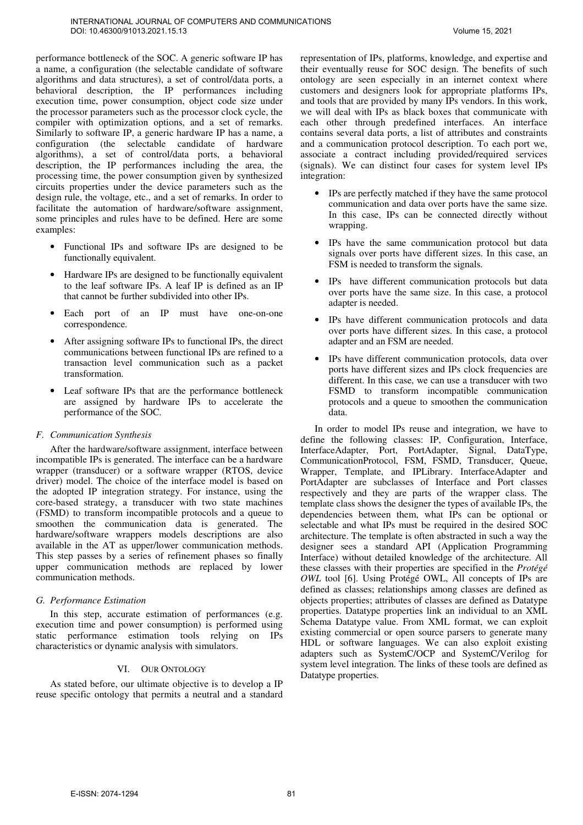performance bottleneck of the SOC. A generic software IP has a name, a configuration (the selectable candidate of software algorithms and data structures), a set of control/data ports, a behavioral description, the IP performances including execution time, power consumption, object code size under the processor parameters such as the processor clock cycle, the compiler with optimization options, and a set of remarks. Similarly to software IP, a generic hardware IP has a name, a configuration (the selectable candidate of hardware algorithms), a set of control/data ports, a behavioral description, the IP performances including the area, the processing time, the power consumption given by synthesized circuits properties under the device parameters such as the design rule, the voltage, etc., and a set of remarks. In order to facilitate the automation of hardware/software assignment, some principles and rules have to be defined. Here are some examples:

- Functional IPs and software IPs are designed to be functionally equivalent.
- Hardware IPs are designed to be functionally equivalent to the leaf software IPs. A leaf IP is defined as an IP that cannot be further subdivided into other IPs.
- Each port of an IP must have one-on-one correspondence.
- After assigning software IPs to functional IPs, the direct communications between functional IPs are refined to a transaction level communication such as a packet transformation.
- Leaf software IPs that are the performance bottleneck are assigned by hardware IPs to accelerate the performance of the SOC.

# *F. Communication Synthesis*

After the hardware/software assignment, interface between incompatible IPs is generated. The interface can be a hardware wrapper (transducer) or a software wrapper (RTOS, device driver) model. The choice of the interface model is based on the adopted IP integration strategy. For instance, using the core-based strategy, a transducer with two state machines (FSMD) to transform incompatible protocols and a queue to smoothen the communication data is generated. The hardware/software wrappers models descriptions are also available in the AT as upper/lower communication methods. This step passes by a series of refinement phases so finally upper communication methods are replaced by lower communication methods.

# *G. Performance Estimation*

In this step, accurate estimation of performances (e.g. execution time and power consumption) is performed using static performance estimation tools relying on IPs characteristics or dynamic analysis with simulators.

# VI. OUR ONTOLOGY

As stated before, our ultimate objective is to develop a IP reuse specific ontology that permits a neutral and a standard representation of IPs, platforms, knowledge, and expertise and their eventually reuse for SOC design. The benefits of such ontology are seen especially in an internet context where customers and designers look for appropriate platforms IPs, and tools that are provided by many IPs vendors. In this work, we will deal with IPs as black boxes that communicate with each other through predefined interfaces. An interface contains several data ports, a list of attributes and constraints and a communication protocol description. To each port we, associate a contract including provided/required services (signals). We can distinct four cases for system level IPs integration:

- IPs are perfectly matched if they have the same protocol communication and data over ports have the same size. In this case, IPs can be connected directly without wrapping.
- IPs have the same communication protocol but data signals over ports have different sizes. In this case, an FSM is needed to transform the signals.
- IPs have different communication protocols but data over ports have the same size. In this case, a protocol adapter is needed.
- IPs have different communication protocols and data over ports have different sizes. In this case, a protocol adapter and an FSM are needed.
- IPs have different communication protocols, data over ports have different sizes and IPs clock frequencies are different. In this case, we can use a transducer with two FSMD to transform incompatible communication protocols and a queue to smoothen the communication data.

In order to model IPs reuse and integration, we have to define the following classes: IP, Configuration, Interface, InterfaceAdapter, Port, PortAdapter, Signal, DataType, CommunicationProtocol, FSM, FSMD, Transducer, Queue, Wrapper, Template, and IPLibrary. InterfaceAdapter and PortAdapter are subclasses of Interface and Port classes respectively and they are parts of the wrapper class. The template class shows the designer the types of available IPs, the dependencies between them, what IPs can be optional or selectable and what IPs must be required in the desired SOC architecture. The template is often abstracted in such a way the designer sees a standard API (Application Programming Interface) without detailed knowledge of the architecture. All these classes with their properties are specified in the *Protégé OWL* tool [6]. Using Protégé OWL, All concepts of IPs are defined as classes; relationships among classes are defined as objects properties; attributes of classes are defined as Datatype properties. Datatype properties link an individual to an XML Schema Datatype value. From XML format, we can exploit existing commercial or open source parsers to generate many HDL or software languages. We can also exploit existing adapters such as SystemC/OCP and SystemC/Verilog for system level integration. The links of these tools are defined as Datatype properties. On the stage state is a state of the state is a state of the state is a state of the state of the state is a state of the state of the state of the state of the state of the state of the state of the state of the state of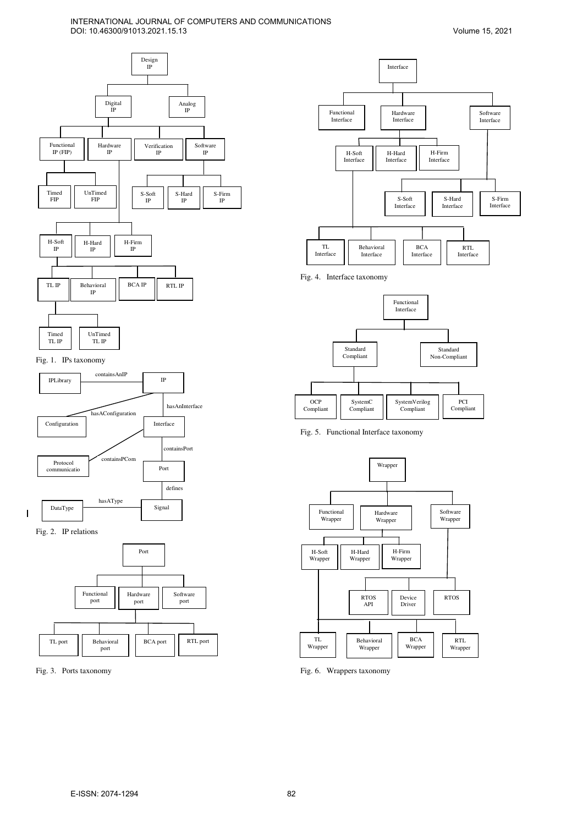# INTERNATIONAL JOURNAL OF COMPUTERS AND COMMUNICATIONS DOI: 10.46300/91013.2021.15.13



# Fig. 1. IPs taxonomy





- I



Fig. 3. Ports taxonomy



Fig. 4. Interface taxonomy



Fig. 5. Functional Interface taxonomy



Fig. 6. Wrappers taxonomy